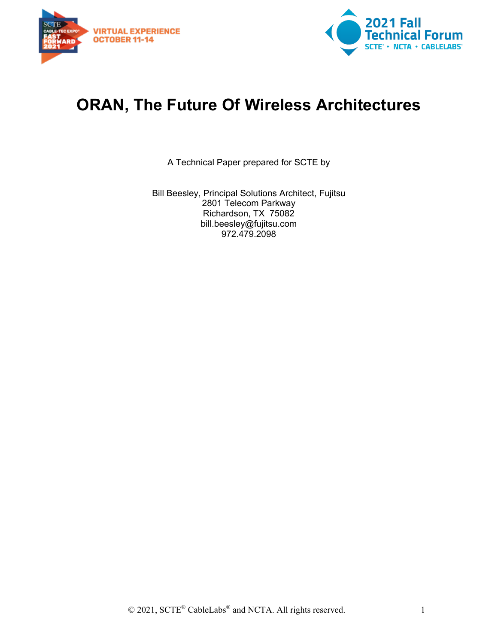



# **ORAN, The Future Of Wireless Architectures**

A Technical Paper prepared for SCTE by

Bill Beesley, Principal Solutions Architect, Fujitsu 2801 Telecom Parkway Richardson, TX 75082 bill.beesley@fujitsu.com 972.479.2098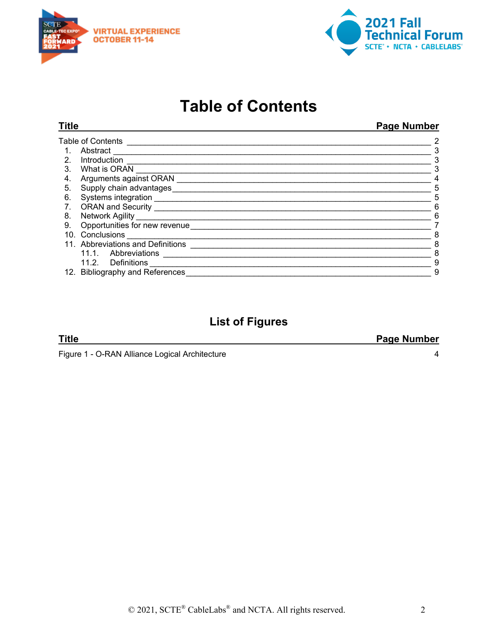



# **Table of Contents**

<span id="page-1-0"></span>

|                                              | Page Number                                                                                        |
|----------------------------------------------|----------------------------------------------------------------------------------------------------|
|                                              | 2                                                                                                  |
| Abstract                                     | 3                                                                                                  |
| Introduction                                 | 3                                                                                                  |
| What is ORAN                                 | 3                                                                                                  |
| Arguments against ORAN                       | 4                                                                                                  |
| Supply chain advantages                      | 5                                                                                                  |
| Systems integration                          | 5                                                                                                  |
| ORAN and Security                            | 6                                                                                                  |
|                                              | 6                                                                                                  |
| Opportunities for new revenue ______________ |                                                                                                    |
| Conclusions                                  | 8                                                                                                  |
|                                              | 8                                                                                                  |
| 11.1. Abbreviations                          | 8                                                                                                  |
| 11.2. Definitions                            | 9                                                                                                  |
|                                              | 9                                                                                                  |
|                                              | Title<br>Table of Contents<br>11. Abbreviations and Definitions<br>12. Bibliography and References |

# **List of Figures**

#### **Title Page Number**

Figure 1 - [O-RAN Alliance Logical Architecture](#page-3-1) 4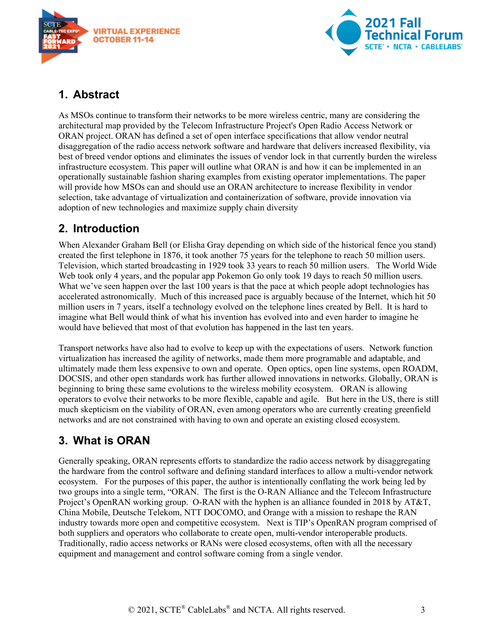



#### <span id="page-2-0"></span>**1. Abstract**

As MSOs continue to transform their networks to be more wireless centric, many are considering the architectural map provided by the Telecom Infrastructure Project's Open Radio Access Network or ORAN project. ORAN has defined a set of open interface specifications that allow vendor neutral disaggregation of the radio access network software and hardware that delivers increased flexibility, via best of breed vendor options and eliminates the issues of vendor lock in that currently burden the wireless infrastructure ecosystem. This paper will outline what ORAN is and how it can be implemented in an operationally sustainable fashion sharing examples from existing operator implementations. The paper will provide how MSOs can and should use an ORAN architecture to increase flexibility in vendor selection, take advantage of virtualization and containerization of software, provide innovation via adoption of new technologies and maximize supply chain diversity

#### <span id="page-2-1"></span>**2. Introduction**

When Alexander Graham Bell (or Elisha Gray depending on which side of the historical fence you stand) created the first telephone in 1876, it took another 75 years for the telephone to reach 50 million users. Television, which started broadcasting in 1929 took 33 years to reach 50 million users. The World Wide Web took only 4 years, and the popular app Pokemon Go only took 19 days to reach 50 million users. What we've seen happen over the last 100 years is that the pace at which people adopt technologies has accelerated astronomically. Much of this increased pace is arguably because of the Internet, which hit 50 million users in 7 years, itself a technology evolved on the telephone lines created by Bell. It is hard to imagine what Bell would think of what his invention has evolved into and even harder to imagine he would have believed that most of that evolution has happened in the last ten years.

Transport networks have also had to evolve to keep up with the expectations of users. Network function virtualization has increased the agility of networks, made them more programable and adaptable, and ultimately made them less expensive to own and operate. Open optics, open line systems, open ROADM, DOCSIS, and other open standards work has further allowed innovations in networks. Globally, ORAN is beginning to bring these same evolutions to the wireless mobility ecosystem. ORAN is allowing operators to evolve their networks to be more flexible, capable and agile. But here in the US, there is still much skepticism on the viability of ORAN, even among operators who are currently creating greenfield networks and are not constrained with having to own and operate an existing closed ecosystem.

#### <span id="page-2-2"></span>**3. What is ORAN**

Generally speaking, ORAN represents efforts to standardize the radio access network by disaggregating the hardware from the control software and defining standard interfaces to allow a multi-vendor network ecosystem. For the purposes of this paper, the author is intentionally conflating the work being led by two groups into a single term, "ORAN. The first is the O-RAN Alliance and the Telecom Infrastructure Project's OpenRAN working group. O-RAN with the hyphen is an alliance founded in 2018 by AT&T, China Mobile, Deutsche Telekom, NTT DOCOMO, and Orange with a mission to reshape the RAN industry towards more open and competitive ecosystem. Next is TIP's OpenRAN program comprised of both suppliers and operators who collaborate to create open, multi-vendor interoperable products. Traditionally, radio access networks or RANs were closed ecosystems, often with all the necessary equipment and management and control software coming from a single vendor.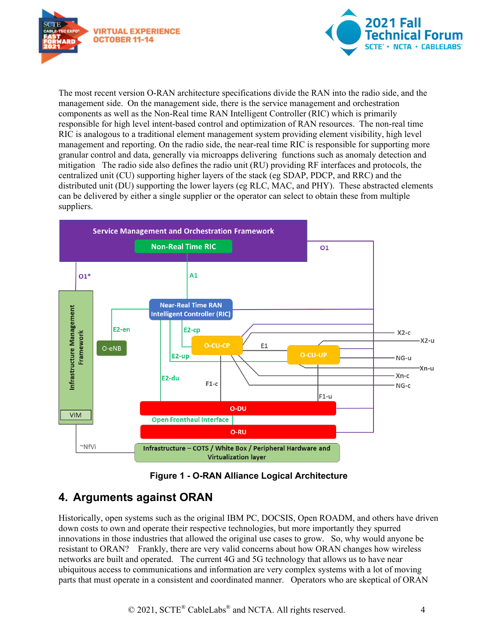



The most recent version O-RAN architecture specifications divide the RAN into the radio side, and the management side. On the management side, there is the service management and orchestration components as well as the Non-Real time RAN Intelligent Controller (RIC) which is primarily responsible for high level intent-based control and optimization of RAN resources. The non-real time RIC is analogous to a traditional element management system providing element visibility, high level management and reporting. On the radio side, the near-real time RIC is responsible for supporting more granular control and data, generally via microapps delivering functions such as anomaly detection and mitigation The radio side also defines the radio unit (RU) providing RF interfaces and protocols, the centralized unit (CU) supporting higher layers of the stack (eg SDAP, PDCP, and RRC) and the distributed unit (DU) supporting the lower layers (eg RLC, MAC, and PHY). These abstracted elements can be delivered by either a single supplier or the operator can select to obtain these from multiple suppliers.



**Figure 1 - O-RAN Alliance Logical Architecture**

## <span id="page-3-1"></span><span id="page-3-0"></span>**4. Arguments against ORAN**

Historically, open systems such as the original IBM PC, DOCSIS, Open ROADM, and others have driven down costs to own and operate their respective technologies, but more importantly they spurred innovations in those industries that allowed the original use cases to grow. So, why would anyone be resistant to ORAN? Frankly, there are very valid concerns about how ORAN changes how wireless networks are built and operated. The current 4G and 5G technology that allows us to have near ubiquitous access to communications and information are very complex systems with a lot of moving parts that must operate in a consistent and coordinated manner. Operators who are skeptical of ORAN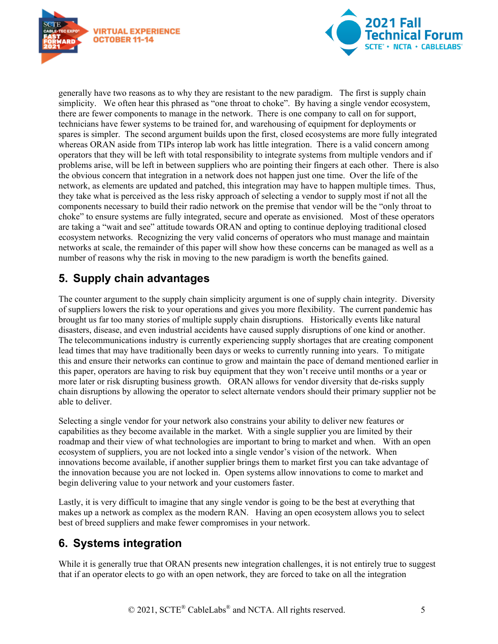



generally have two reasons as to why they are resistant to the new paradigm. The first is supply chain simplicity. We often hear this phrased as "one throat to choke". By having a single vendor ecosystem, there are fewer components to manage in the network. There is one company to call on for support, technicians have fewer systems to be trained for, and warehousing of equipment for deployments or spares is simpler. The second argument builds upon the first, closed ecosystems are more fully integrated whereas ORAN aside from TIPs interop lab work has little integration. There is a valid concern among operators that they will be left with total responsibility to integrate systems from multiple vendors and if problems arise, will be left in between suppliers who are pointing their fingers at each other. There is also the obvious concern that integration in a network does not happen just one time. Over the life of the network, as elements are updated and patched, this integration may have to happen multiple times. Thus, they take what is perceived as the less risky approach of selecting a vendor to supply most if not all the components necessary to build their radio network on the premise that vendor will be the "only throat to choke" to ensure systems are fully integrated, secure and operate as envisioned. Most of these operators are taking a "wait and see" attitude towards ORAN and opting to continue deploying traditional closed ecosystem networks. Recognizing the very valid concerns of operators who must manage and maintain networks at scale, the remainder of this paper will show how these concerns can be managed as well as a number of reasons why the risk in moving to the new paradigm is worth the benefits gained.

## <span id="page-4-0"></span>**5. Supply chain advantages**

The counter argument to the supply chain simplicity argument is one of supply chain integrity. Diversity of suppliers lowers the risk to your operations and gives you more flexibility. The current pandemic has brought us far too many stories of multiple supply chain disruptions. Historically events like natural disasters, disease, and even industrial accidents have caused supply disruptions of one kind or another. The telecommunications industry is currently experiencing supply shortages that are creating component lead times that may have traditionally been days or weeks to currently running into years. To mitigate this and ensure their networks can continue to grow and maintain the pace of demand mentioned earlier in this paper, operators are having to risk buy equipment that they won't receive until months or a year or more later or risk disrupting business growth. ORAN allows for vendor diversity that de-risks supply chain disruptions by allowing the operator to select alternate vendors should their primary supplier not be able to deliver.

Selecting a single vendor for your network also constrains your ability to deliver new features or capabilities as they become available in the market. With a single supplier you are limited by their roadmap and their view of what technologies are important to bring to market and when. With an open ecosystem of suppliers, you are not locked into a single vendor's vision of the network. When innovations become available, if another supplier brings them to market first you can take advantage of the innovation because you are not locked in. Open systems allow innovations to come to market and begin delivering value to your network and your customers faster.

Lastly, it is very difficult to imagine that any single vendor is going to be the best at everything that makes up a network as complex as the modern RAN. Having an open ecosystem allows you to select best of breed suppliers and make fewer compromises in your network.

## <span id="page-4-1"></span>**6. Systems integration**

While it is generally true that ORAN presents new integration challenges, it is not entirely true to suggest that if an operator elects to go with an open network, they are forced to take on all the integration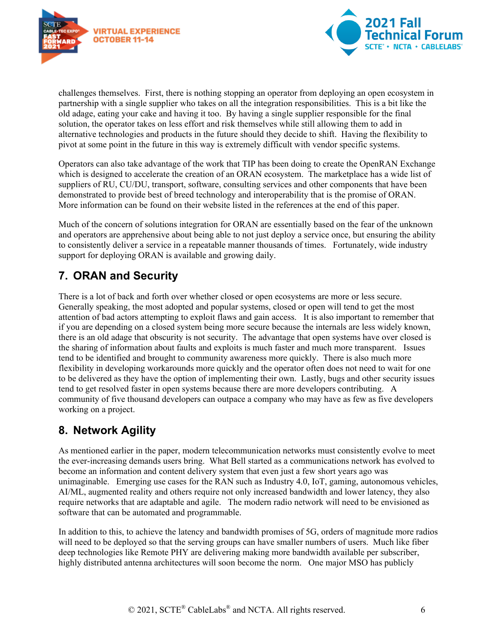



challenges themselves. First, there is nothing stopping an operator from deploying an open ecosystem in partnership with a single supplier who takes on all the integration responsibilities. This is a bit like the old adage, eating your cake and having it too. By having a single supplier responsible for the final solution, the operator takes on less effort and risk themselves while still allowing them to add in alternative technologies and products in the future should they decide to shift. Having the flexibility to pivot at some point in the future in this way is extremely difficult with vendor specific systems.

Operators can also take advantage of the work that TIP has been doing to create the OpenRAN Exchange which is designed to accelerate the creation of an ORAN ecosystem. The marketplace has a wide list of suppliers of RU, CU/DU, transport, software, consulting services and other components that have been demonstrated to provide best of breed technology and interoperability that is the promise of ORAN. More information can be found on their website listed in the references at the end of this paper.

Much of the concern of solutions integration for ORAN are essentially based on the fear of the unknown and operators are apprehensive about being able to not just deploy a service once, but ensuring the ability to consistently deliver a service in a repeatable manner thousands of times. Fortunately, wide industry support for deploying ORAN is available and growing daily.

## <span id="page-5-0"></span>**7. ORAN and Security**

There is a lot of back and forth over whether closed or open ecosystems are more or less secure. Generally speaking, the most adopted and popular systems, closed or open will tend to get the most attention of bad actors attempting to exploit flaws and gain access. It is also important to remember that if you are depending on a closed system being more secure because the internals are less widely known, there is an old adage that obscurity is not security. The advantage that open systems have over closed is the sharing of information about faults and exploits is much faster and much more transparent. Issues tend to be identified and brought to community awareness more quickly. There is also much more flexibility in developing workarounds more quickly and the operator often does not need to wait for one to be delivered as they have the option of implementing their own. Lastly, bugs and other security issues tend to get resolved faster in open systems because there are more developers contributing. A community of five thousand developers can outpace a company who may have as few as five developers working on a project.

#### <span id="page-5-1"></span>**8. Network Agility**

As mentioned earlier in the paper, modern telecommunication networks must consistently evolve to meet the ever-increasing demands users bring. What Bell started as a communications network has evolved to become an information and content delivery system that even just a few short years ago was unimaginable. Emerging use cases for the RAN such as Industry 4.0, IoT, gaming, autonomous vehicles, AI/ML, augmented reality and others require not only increased bandwidth and lower latency, they also require networks that are adaptable and agile. The modern radio network will need to be envisioned as software that can be automated and programmable.

In addition to this, to achieve the latency and bandwidth promises of 5G, orders of magnitude more radios will need to be deployed so that the serving groups can have smaller numbers of users. Much like fiber deep technologies like Remote PHY are delivering making more bandwidth available per subscriber, highly distributed antenna architectures will soon become the norm. One major MSO has publicly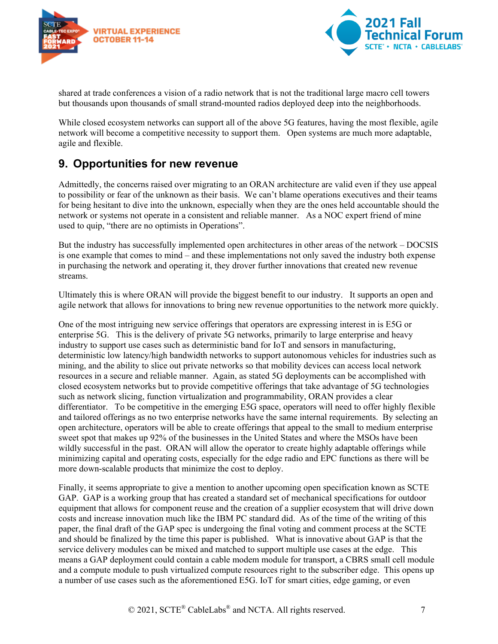



shared at trade conferences a vision of a radio network that is not the traditional large macro cell towers but thousands upon thousands of small strand-mounted radios deployed deep into the neighborhoods.

While closed ecosystem networks can support all of the above 5G features, having the most flexible, agile network will become a competitive necessity to support them. Open systems are much more adaptable, agile and flexible.

#### <span id="page-6-0"></span>**9. Opportunities for new revenue**

Admittedly, the concerns raised over migrating to an ORAN architecture are valid even if they use appeal to possibility or fear of the unknown as their basis. We can't blame operations executives and their teams for being hesitant to dive into the unknown, especially when they are the ones held accountable should the network or systems not operate in a consistent and reliable manner. As a NOC expert friend of mine used to quip, "there are no optimists in Operations".

But the industry has successfully implemented open architectures in other areas of the network – DOCSIS is one example that comes to mind – and these implementations not only saved the industry both expense in purchasing the network and operating it, they drover further innovations that created new revenue streams.

Ultimately this is where ORAN will provide the biggest benefit to our industry. It supports an open and agile network that allows for innovations to bring new revenue opportunities to the network more quickly.

One of the most intriguing new service offerings that operators are expressing interest in is E5G or enterprise 5G. This is the delivery of private 5G networks, primarily to large enterprise and heavy industry to support use cases such as deterministic band for IoT and sensors in manufacturing, deterministic low latency/high bandwidth networks to support autonomous vehicles for industries such as mining, and the ability to slice out private networks so that mobility devices can access local network resources in a secure and reliable manner. Again, as stated 5G deployments can be accomplished with closed ecosystem networks but to provide competitive offerings that take advantage of 5G technologies such as network slicing, function virtualization and programmability, ORAN provides a clear differentiator. To be competitive in the emerging E5G space, operators will need to offer highly flexible and tailored offerings as no two enterprise networks have the same internal requirements. By selecting an open architecture, operators will be able to create offerings that appeal to the small to medium enterprise sweet spot that makes up 92% of the businesses in the United States and where the MSOs have been wildly successful in the past. ORAN will allow the operator to create highly adaptable offerings while minimizing capital and operating costs, especially for the edge radio and EPC functions as there will be more down-scalable products that minimize the cost to deploy.

Finally, it seems appropriate to give a mention to another upcoming open specification known as SCTE GAP. GAP is a working group that has created a standard set of mechanical specifications for outdoor equipment that allows for component reuse and the creation of a supplier ecosystem that will drive down costs and increase innovation much like the IBM PC standard did. As of the time of the writing of this paper, the final draft of the GAP spec is undergoing the final voting and comment process at the SCTE and should be finalized by the time this paper is published. What is innovative about GAP is that the service delivery modules can be mixed and matched to support multiple use cases at the edge. This means a GAP deployment could contain a cable modem module for transport, a CBRS small cell module and a compute module to push virtualized compute resources right to the subscriber edge. This opens up a number of use cases such as the aforementioned E5G. IoT for smart cities, edge gaming, or even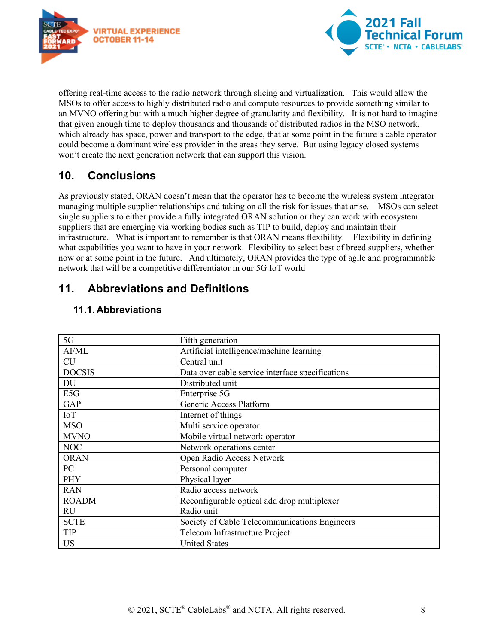



offering real-time access to the radio network through slicing and virtualization. This would allow the MSOs to offer access to highly distributed radio and compute resources to provide something similar to an MVNO offering but with a much higher degree of granularity and flexibility. It is not hard to imagine that given enough time to deploy thousands and thousands of distributed radios in the MSO network, which already has space, power and transport to the edge, that at some point in the future a cable operator could become a dominant wireless provider in the areas they serve. But using legacy closed systems won't create the next generation network that can support this vision.

#### <span id="page-7-0"></span>**10. Conclusions**

As previously stated, ORAN doesn't mean that the operator has to become the wireless system integrator managing multiple supplier relationships and taking on all the risk for issues that arise. MSOs can select single suppliers to either provide a fully integrated ORAN solution or they can work with ecosystem suppliers that are emerging via working bodies such as TIP to build, deploy and maintain their infrastructure. What is important to remember is that ORAN means flexibility. Flexibility in defining what capabilities you want to have in your network. Flexibility to select best of breed suppliers, whether now or at some point in the future. And ultimately, ORAN provides the type of agile and programmable network that will be a competitive differentiator in our 5G IoT world

#### <span id="page-7-1"></span>**11. Abbreviations and Definitions**

| 5G            | Fifth generation                                 |
|---------------|--------------------------------------------------|
| AI/ML         | Artificial intelligence/machine learning         |
| <b>CU</b>     | Central unit                                     |
| <b>DOCSIS</b> | Data over cable service interface specifications |
| DU            | Distributed unit                                 |
| E5G           | Enterprise 5G                                    |
| <b>GAP</b>    | Generic Access Platform                          |
| IoT           | Internet of things                               |
| <b>MSO</b>    | Multi service operator                           |
| <b>MVNO</b>   | Mobile virtual network operator                  |
| <b>NOC</b>    | Network operations center                        |
| <b>ORAN</b>   | Open Radio Access Network                        |
| PC            | Personal computer                                |
| <b>PHY</b>    | Physical layer                                   |
| <b>RAN</b>    | Radio access network                             |
| <b>ROADM</b>  | Reconfigurable optical add drop multiplexer      |
| <b>RU</b>     | Radio unit                                       |
| <b>SCTE</b>   | Society of Cable Telecommunications Engineers    |
| <b>TIP</b>    | Telecom Infrastructure Project                   |
| <b>US</b>     | <b>United States</b>                             |

#### <span id="page-7-2"></span>**11.1. Abbreviations**